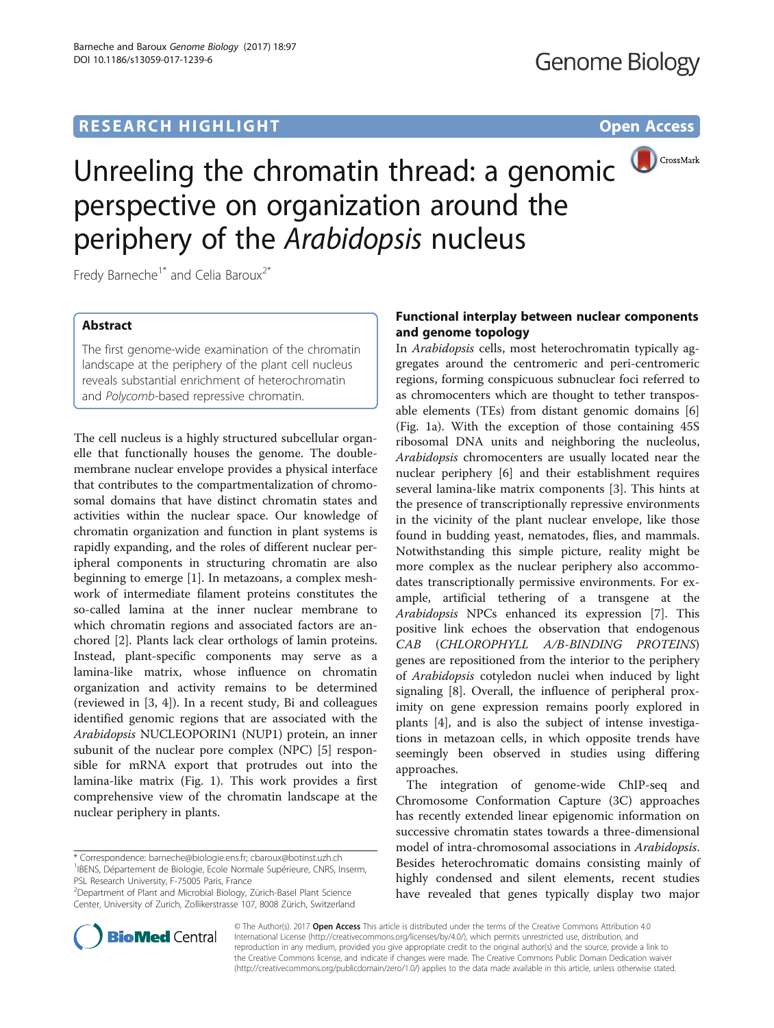# **RESEARCH HIGHLIGHT CONSUMING THE OPEN ACCESS**



# Unreeling the chromatin thread: a genomic perspective on organization around the periphery of the Arabidopsis nucleus

Fredy Barneche<sup>1\*</sup> and Celia Baroux<sup>2\*</sup>

# Abstract

The first genome-wide examination of the chromatin landscape at the periphery of the plant cell nucleus reveals substantial enrichment of heterochromatin and Polycomb-based repressive chromatin.

The cell nucleus is a highly structured subcellular organelle that functionally houses the genome. The doublemembrane nuclear envelope provides a physical interface that contributes to the compartmentalization of chromosomal domains that have distinct chromatin states and activities within the nuclear space. Our knowledge of chromatin organization and function in plant systems is rapidly expanding, and the roles of different nuclear peripheral components in structuring chromatin are also beginning to emerge [\[1\]](#page-2-0). In metazoans, a complex meshwork of intermediate filament proteins constitutes the so-called lamina at the inner nuclear membrane to which chromatin regions and associated factors are anchored [\[2](#page-2-0)]. Plants lack clear orthologs of lamin proteins. Instead, plant-specific components may serve as a lamina-like matrix, whose influence on chromatin organization and activity remains to be determined (reviewed in [\[3](#page-2-0), [4\]](#page-2-0)). In a recent study, Bi and colleagues identified genomic regions that are associated with the Arabidopsis NUCLEOPORIN1 (NUP1) protein, an inner subunit of the nuclear pore complex (NPC) [\[5](#page-2-0)] responsible for mRNA export that protrudes out into the lamina-like matrix (Fig. [1\)](#page-1-0). This work provides a first comprehensive view of the chromatin landscape at the nuclear periphery in plants.

\* Correspondence: [barneche@biologie.ens.fr](mailto:barneche@biologie.ens.fr); [cbaroux@botinst.uzh.ch](mailto:cbaroux@botinst.uzh.ch) <sup>1</sup> <sup>1</sup>IBENS, Département de Biologie, Ecole Normale Supérieure, CNRS, Inserm, PSL Research University, F-75005 Paris, France



In Arabidopsis cells, most heterochromatin typically aggregates around the centromeric and peri-centromeric regions, forming conspicuous subnuclear foci referred to as chromocenters which are thought to tether transposable elements (TEs) from distant genomic domains [\[6](#page-2-0)] (Fig. [1a\)](#page-1-0). With the exception of those containing 45S ribosomal DNA units and neighboring the nucleolus, Arabidopsis chromocenters are usually located near the nuclear periphery [[6\]](#page-2-0) and their establishment requires several lamina-like matrix components [[3\]](#page-2-0). This hints at the presence of transcriptionally repressive environments in the vicinity of the plant nuclear envelope, like those found in budding yeast, nematodes, flies, and mammals. Notwithstanding this simple picture, reality might be more complex as the nuclear periphery also accommodates transcriptionally permissive environments. For example, artificial tethering of a transgene at the Arabidopsis NPCs enhanced its expression [[7\]](#page-3-0). This positive link echoes the observation that endogenous CAB (CHLOROPHYLL A/B-BINDING PROTEINS) genes are repositioned from the interior to the periphery of Arabidopsis cotyledon nuclei when induced by light signaling [\[8](#page-3-0)]. Overall, the influence of peripheral proximity on gene expression remains poorly explored in plants [\[4](#page-2-0)], and is also the subject of intense investigations in metazoan cells, in which opposite trends have seemingly been observed in studies using differing approaches.

The integration of genome-wide ChIP-seq and Chromosome Conformation Capture (3C) approaches has recently extended linear epigenomic information on successive chromatin states towards a three-dimensional model of intra-chromosomal associations in Arabidopsis. Besides heterochromatic domains consisting mainly of highly condensed and silent elements, recent studies have revealed that genes typically display two major



© The Author(s). 2017 **Open Access** This article is distributed under the terms of the Creative Commons Attribution 4.0 International License [\(http://creativecommons.org/licenses/by/4.0/](http://creativecommons.org/licenses/by/4.0/)), which permits unrestricted use, distribution, and reproduction in any medium, provided you give appropriate credit to the original author(s) and the source, provide a link to the Creative Commons license, and indicate if changes were made. The Creative Commons Public Domain Dedication waiver [\(http://creativecommons.org/publicdomain/zero/1.0/](http://creativecommons.org/publicdomain/zero/1.0/)) applies to the data made available in this article, unless otherwise stated.

<sup>2</sup> Department of Plant and Microbial Biology, Zürich-Basel Plant Science Center, University of Zurich, Zollikerstrasse 107, 8008 Zürich, Switzerland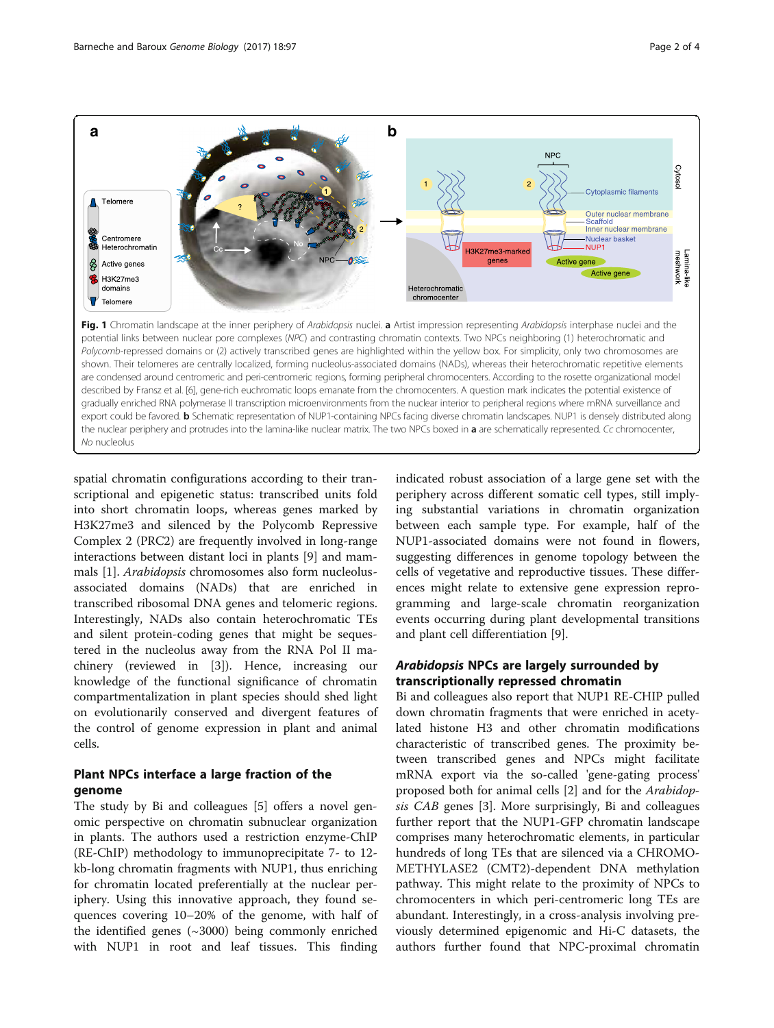<span id="page-1-0"></span>

spatial chromatin configurations according to their transcriptional and epigenetic status: transcribed units fold into short chromatin loops, whereas genes marked by H3K27me3 and silenced by the Polycomb Repressive Complex 2 (PRC2) are frequently involved in long-range interactions between distant loci in plants [\[9](#page-3-0)] and mammals [[1\]](#page-2-0). Arabidopsis chromosomes also form nucleolusassociated domains (NADs) that are enriched in transcribed ribosomal DNA genes and telomeric regions. Interestingly, NADs also contain heterochromatic TEs and silent protein-coding genes that might be sequestered in the nucleolus away from the RNA Pol II machinery (reviewed in [\[3](#page-2-0)]). Hence, increasing our knowledge of the functional significance of chromatin compartmentalization in plant species should shed light on evolutionarily conserved and divergent features of the control of genome expression in plant and animal cells.

## Plant NPCs interface a large fraction of the genome

The study by Bi and colleagues [\[5](#page-2-0)] offers a novel genomic perspective on chromatin subnuclear organization in plants. The authors used a restriction enzyme-ChIP (RE-ChIP) methodology to immunoprecipitate 7- to 12 kb-long chromatin fragments with NUP1, thus enriching for chromatin located preferentially at the nuclear periphery. Using this innovative approach, they found sequences covering 10–20% of the genome, with half of the identified genes (~3000) being commonly enriched with NUP1 in root and leaf tissues. This finding

indicated robust association of a large gene set with the periphery across different somatic cell types, still implying substantial variations in chromatin organization between each sample type. For example, half of the NUP1-associated domains were not found in flowers, suggesting differences in genome topology between the cells of vegetative and reproductive tissues. These differences might relate to extensive gene expression reprogramming and large-scale chromatin reorganization events occurring during plant developmental transitions and plant cell differentiation [\[9](#page-3-0)].

# Arabidopsis NPCs are largely surrounded by transcriptionally repressed chromatin

Bi and colleagues also report that NUP1 RE-CHIP pulled down chromatin fragments that were enriched in acetylated histone H3 and other chromatin modifications characteristic of transcribed genes. The proximity between transcribed genes and NPCs might facilitate mRNA export via the so-called 'gene-gating process' proposed both for animal cells [[2\]](#page-2-0) and for the Arabidopsis CAB genes [[3](#page-2-0)]. More surprisingly, Bi and colleagues further report that the NUP1-GFP chromatin landscape comprises many heterochromatic elements, in particular hundreds of long TEs that are silenced via a CHROMO-METHYLASE2 (CMT2)-dependent DNA methylation pathway. This might relate to the proximity of NPCs to chromocenters in which peri-centromeric long TEs are abundant. Interestingly, in a cross-analysis involving previously determined epigenomic and Hi-C datasets, the authors further found that NPC-proximal chromatin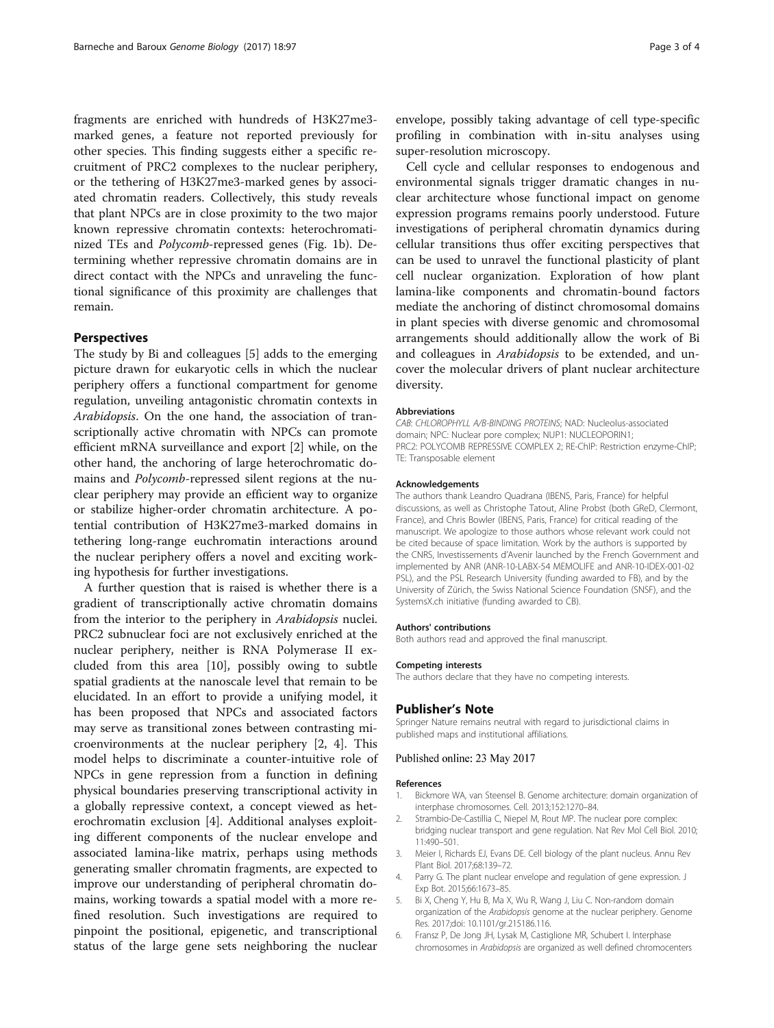<span id="page-2-0"></span>fragments are enriched with hundreds of H3K27me3 marked genes, a feature not reported previously for other species. This finding suggests either a specific recruitment of PRC2 complexes to the nuclear periphery, or the tethering of H3K27me3-marked genes by associated chromatin readers. Collectively, this study reveals that plant NPCs are in close proximity to the two major known repressive chromatin contexts: heterochromatinized TEs and Polycomb-repressed genes (Fig. [1b\)](#page-1-0). Determining whether repressive chromatin domains are in direct contact with the NPCs and unraveling the functional significance of this proximity are challenges that remain.

### **Perspectives**

The study by Bi and colleagues [5] adds to the emerging picture drawn for eukaryotic cells in which the nuclear periphery offers a functional compartment for genome regulation, unveiling antagonistic chromatin contexts in Arabidopsis. On the one hand, the association of transcriptionally active chromatin with NPCs can promote efficient mRNA surveillance and export [2] while, on the other hand, the anchoring of large heterochromatic domains and Polycomb-repressed silent regions at the nuclear periphery may provide an efficient way to organize or stabilize higher-order chromatin architecture. A potential contribution of H3K27me3-marked domains in tethering long-range euchromatin interactions around the nuclear periphery offers a novel and exciting working hypothesis for further investigations.

A further question that is raised is whether there is a gradient of transcriptionally active chromatin domains from the interior to the periphery in *Arabidopsis* nuclei. PRC2 subnuclear foci are not exclusively enriched at the nuclear periphery, neither is RNA Polymerase II excluded from this area [\[10\]](#page-3-0), possibly owing to subtle spatial gradients at the nanoscale level that remain to be elucidated. In an effort to provide a unifying model, it has been proposed that NPCs and associated factors may serve as transitional zones between contrasting microenvironments at the nuclear periphery [2, 4]. This model helps to discriminate a counter-intuitive role of NPCs in gene repression from a function in defining physical boundaries preserving transcriptional activity in a globally repressive context, a concept viewed as heterochromatin exclusion [4]. Additional analyses exploiting different components of the nuclear envelope and associated lamina-like matrix, perhaps using methods generating smaller chromatin fragments, are expected to improve our understanding of peripheral chromatin domains, working towards a spatial model with a more refined resolution. Such investigations are required to pinpoint the positional, epigenetic, and transcriptional status of the large gene sets neighboring the nuclear

envelope, possibly taking advantage of cell type-specific profiling in combination with in-situ analyses using super-resolution microscopy.

Cell cycle and cellular responses to endogenous and environmental signals trigger dramatic changes in nuclear architecture whose functional impact on genome expression programs remains poorly understood. Future investigations of peripheral chromatin dynamics during cellular transitions thus offer exciting perspectives that can be used to unravel the functional plasticity of plant cell nuclear organization. Exploration of how plant lamina-like components and chromatin-bound factors mediate the anchoring of distinct chromosomal domains in plant species with diverse genomic and chromosomal arrangements should additionally allow the work of Bi and colleagues in Arabidopsis to be extended, and uncover the molecular drivers of plant nuclear architecture diversity.

#### Abbreviations

CAB: CHLOROPHYLL A/B-BINDING PROTEINS; NAD: Nucleolus-associated domain; NPC: Nuclear pore complex; NUP1: NUCLEOPORIN1; PRC2: POLYCOMB REPRESSIVE COMPLEX 2; RE-ChIP: Restriction enzyme-ChIP; TE: Transposable element

#### Acknowledgements

The authors thank Leandro Quadrana (IBENS, Paris, France) for helpful discussions, as well as Christophe Tatout, Aline Probst (both GReD, Clermont, France), and Chris Bowler (IBENS, Paris, France) for critical reading of the manuscript. We apologize to those authors whose relevant work could not be cited because of space limitation. Work by the authors is supported by the CNRS, Investissements d'Avenir launched by the French Government and implemented by ANR (ANR-10-LABX-54 MEMOLIFE and ANR-10-IDEX-001-02 PSL), and the PSL Research University (funding awarded to FB), and by the University of Zürich, the Swiss National Science Foundation (SNSF), and the SystemsX.ch initiative (funding awarded to CB).

#### Authors' contributions

Both authors read and approved the final manuscript.

#### Competing interests

The authors declare that they have no competing interests.

#### Publisher's Note

Springer Nature remains neutral with regard to jurisdictional claims in published maps and institutional affiliations.

#### Published online: 23 May 2017

#### References

- 1. Bickmore WA, van Steensel B. Genome architecture: domain organization of interphase chromosomes. Cell. 2013;152:1270–84.
- 2. Strambio-De-Castillia C, Niepel M, Rout MP. The nuclear pore complex: bridging nuclear transport and gene regulation. Nat Rev Mol Cell Biol. 2010; 11:490–501.
- 3. Meier I, Richards EJ, Evans DE. Cell biology of the plant nucleus. Annu Rev Plant Biol. 2017;68:139–72.
- 4. Parry G. The plant nuclear envelope and regulation of gene expression. J Exp Bot. 2015;66:1673–85.
- 5. Bi X, Cheng Y, Hu B, Ma X, Wu R, Wang J, Liu C. Non-random domain organization of the Arabidopsis genome at the nuclear periphery. Genome Res. 2017;doi: [10.1101/gr.215186.116.](http://dx.doi.org/10.1101/gr.215186.116)
- 6. Fransz P, De Jong JH, Lysak M, Castiglione MR, Schubert I. Interphase chromosomes in Arabidopsis are organized as well defined chromocenters